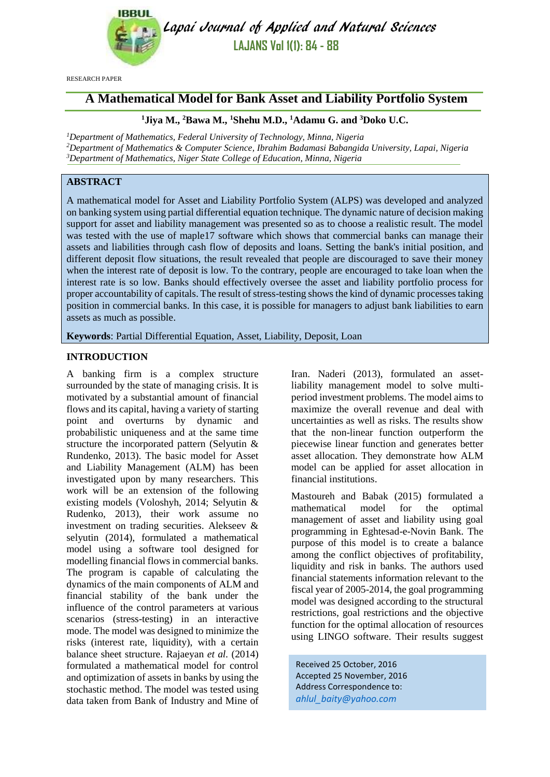

Lapai Journal of Applied and Natural Sciences **LAJANS Vol 1(1): 84 - 88**

RESEARCH PAPER

# **A Mathematical Model for Bank Asset and Liability Portfolio System**

## **<sup>1</sup>Jiya M., <sup>2</sup>Bawa M., <sup>1</sup>Shehu M.D., <sup>1</sup>Adamu G. and <sup>3</sup>Doko U.C.**

*<sup>1</sup>Department of Mathematics, Federal University of Technology, Minna, Nigeria <sup>2</sup>Department of Mathematics & Computer Science, Ibrahim Badamasi Babangida University, Lapai, Nigeria <sup>3</sup>Department of Mathematics, Niger State College of Education, Minna, Nigeria*

## **ABSTRACT**

A mathematical model for Asset and Liability Portfolio System (ALPS) was developed and analyzed on banking system using partial differential equation technique. The dynamic nature of decision making support for asset and liability management was presented so as to choose a realistic result. The model was tested with the use of maple17 software which shows that commercial banks can manage their assets and liabilities through cash flow of deposits and loans. Setting the bank's initial position, and different deposit flow situations, the result revealed that people are discouraged to save their money when the interest rate of deposit is low. To the contrary, people are encouraged to take loan when the interest rate is so low. Banks should effectively oversee the asset and liability portfolio process for proper accountability of capitals. The result of stress-testing shows the kind of dynamic processes taking position in commercial banks. In this case, it is possible for managers to adjust bank liabilities to earn assets as much as possible.

**Keywords**: Partial Differential Equation, Asset, Liability, Deposit, Loan

## **INTRODUCTION**

A banking firm is a complex structure surrounded by the state of managing crisis. It is motivated by a substantial amount of financial flows and its capital, having a variety of starting point and overturns by dynamic and probabilistic uniqueness and at the same time structure the incorporated pattern (Selyutin & Rundenko, 2013). The basic model for Asset and Liability Management (ALM) has been investigated upon by many researchers. This work will be an extension of the following existing models (Voloshyh, 2014; Selyutin & Rudenko, 2013), their work assume no investment on trading securities. Alekseev & selyutin (2014), formulated a mathematical model using a software tool designed for modelling financial flows in commercial banks. The program is capable of calculating the dynamics of the main components of ALM and financial stability of the bank under the influence of the control parameters at various scenarios (stress-testing) in an interactive mode. The model was designed to minimize the risks (interest rate, liquidity), with a certain balance sheet structure. Rajaeyan *et al.* (2014) formulated a mathematical model for control and optimization of assets in banks by using the stochastic method. The model was tested using data taken from Bank of Industry and Mine of Iran. Naderi (2013), formulated an assetliability management model to solve multiperiod investment problems. The model aims to maximize the overall revenue and deal with uncertainties as well as risks. The results show that the non-linear function outperform the piecewise linear function and generates better asset allocation. They demonstrate how ALM model can be applied for asset allocation in financial institutions.

Mastoureh and Babak (2015) formulated a mathematical model for the optimal management of asset and liability using goal programming in Eghtesad-e-Novin Bank. The purpose of this model is to create a balance among the conflict objectives of profitability, liquidity and risk in banks. The authors used financial statements information relevant to the fiscal year of 2005-2014, the goal programming model was designed according to the structural restrictions, goal restrictions and the objective function for the optimal allocation of resources using LINGO software. Their results suggest

Received 25 October, 2016 Accepted 25 November, 2016 Address Correspondence to: *[ahlul\\_baity@yahoo.com](mailto:ahlul_baity@yahoo.com)*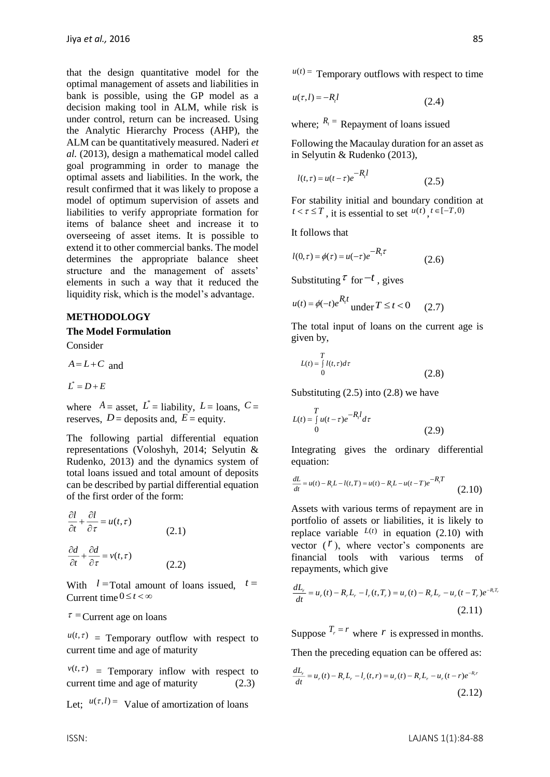that the design quantitative model for the optimal management of assets and liabilities in bank is possible, using the GP model as a decision making tool in ALM, while risk is under control, return can be increased. Using the Analytic Hierarchy Process (AHP), the ALM can be quantitatively measured. Naderi *et al.* (2013), design a mathematical model called goal programming in order to manage the optimal assets and liabilities. In the work, the result confirmed that it was likely to propose a model of optimum supervision of assets and liabilities to verify appropriate formation for items of balance sheet and increase it to overseeing of asset items. It is possible to extend it to other commercial banks. The model determines the appropriate balance sheet structure and the management of assets' elements in such a way that it reduced the liquidity risk, which is the model's advantage.

## **METHODOLOGY**

#### **The Model Formulation**

Consider

 $A = L + C$  and

$$
L^*=D+E
$$

where  $A =$  asset,  $L^* =$  liability,  $L =$  loans,  $C =$ reserves,  $D =$  deposits and,  $E =$  equity.

The following partial differential equation representations (Voloshyh, 2014; Selyutin & Rudenko, 2013) and the dynamics system of total loans issued and total amount of deposits can be described by partial differential equation of the first order of the form:

$$
\frac{\partial l}{\partial t} + \frac{\partial l}{\partial \tau} = u(t, \tau)
$$
\n
$$
\frac{\partial d}{\partial t} + \frac{\partial d}{\partial \tau} = v(t, \tau)
$$
\n(2.1)

With  $l = \text{Total amount of loans issued}, t =$ Current time  $0 \le t < \infty$ 

 $\tau$  = Current age on loans

 $u(t,\tau)$  = Temporary outflow with respect to current time and age of maturity

 $v(t, \tau)$  = Temporary inflow with respect to current time and age of maturity (2.3)

Let;  $u(\tau, l) =$  Value of amortization of loans

$$
u(\tau, l) = -R_l l \tag{2.4}
$$

where;  $R_t$ <sup>=</sup> Repayment of loans issued

Following the Macaulay duration for an asset as in Selyutin & Rudenko (2013),

$$
l(t,\tau) = u(t-\tau)e^{-R_t l} \tag{2.5}
$$

For stability initial and boundary condition at  $t < \tau \leq T$ , it is essential to set  $u(t)$ ,  $t \in [-T, 0)$ 

It follows that

$$
l(0,\tau) = \phi(\tau) = u(-\tau)e^{-R_{\tau}\tau}
$$
\n(2.6)

Substituting  $\tau$  for  $-t$ , gives

$$
u(t) = \phi(-t)e^{R_t t} \text{ under } T \le t < 0 \qquad (2.7)
$$

The total input of loans on the current age is given by,

$$
L(t) = \int_{0}^{T} l(t, \tau) d\tau
$$
\n(2.8)

Substituting  $(2.5)$  into  $(2.8)$  we have

$$
L(t) = \int_{0}^{T} u(t - \tau)e^{-R_t} d\tau
$$
\n(2.9)

Integrating gives the ordinary differential equation:

equation:  
\n
$$
\frac{dL}{dt} = u(t) - R_L L - l(t, T) = u(t) - R_L L - u(t - T)e^{-R_t T}
$$
\n(2.10)

Assets with various terms of repayment are in portfolio of assets or liabilities, it is likely to replace variable  $L(t)$  in equation (2.10) with vector  $(1)$ , where vector's components are financial tools with various terms of repayments, which give

$$
\frac{dL_r}{dt} = u_r(t) - R_r L_r - l_r(t, T_r) = u_r(t) - R_r L_r - u_r(t - T_r)e^{-R_r T_r}
$$
\n(2.11)

Suppose  $T_r = r$  where r is expressed in months.

Then the preceding equation can be offered as:

$$
\frac{dL_r}{dt} = u_r(t) - R_r L_r - l_r(t, r) = u_r(t) - R_r L_r - u_r(t - r)e^{-R_r t}
$$
\n(2.12)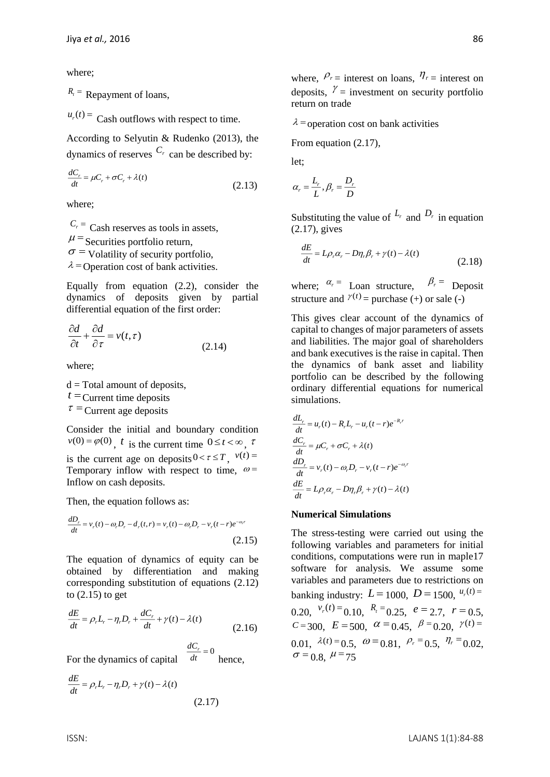where;

 $R_t$ <sup>=</sup> Repayment of loans,

 $u_r(t)$  = Cash outflows with respect to time.

According to Selyutin & Rudenko (2013), the dynamics of reserves  $C_r$  can be described by:

$$
\frac{dC_r}{dt} = \mu C_r + \sigma C_r + \lambda(t) \tag{2.13}
$$

where;

 $C_r$ <sup>=</sup> Cash reserves as tools in assets,  $\mu$  = Securities portfolio return,  $\sigma$  = Volatility of security portfolio,  $\lambda$  = Operation cost of bank activities.

Equally from equation (2.2), consider the dynamics of deposits given by partial differential equation of the first order:

$$
\frac{\partial d}{\partial t} + \frac{\partial d}{\partial \tau} = v(t, \tau)
$$
\n(2.14)

where;

 $d = Total$  amount of deposits,  $t =$ Current time deposits  $\tau$  = Current age deposits

Consider the initial and boundary condition  $v(0) = \varphi(0)$ , t is the current time  $0 \le t < \infty$ , t is the current age on deposits  $0 < \tau \leq T$ ,  $v(t) =$ Temporary inflow with respect to time,  $\omega$ = Inflow on cash deposits.

Then, the equation follows as:

$$
\frac{dD_r}{dt} = v_r(t) - \omega_r D_r - d_r(t, r) = v_r(t) - \omega_r D_r - v_r(t - r)e^{-\omega_r t}
$$
\n(2.15)

The equation of dynamics of equity can be obtained by differentiation and making corresponding substitution of equations (2.12) to (2.15) to get

$$
\frac{dE}{dt} = \rho_r L_r - \eta_r D_r + \frac{dC_r}{dt} + \gamma(t) - \lambda(t)
$$
\n(2.16)

For the dynamics of capital  $\frac{dC_r}{dt} = 0$  $\frac{dC_r}{dt}$  = hence,

$$
\frac{dE}{dt} = \rho_r L_r - \eta_r D_r + \gamma(t) - \lambda(t)
$$
\n(2.17)

where,  $P_r$  = interest on loans,  $\eta_r$  = interest on deposits,  $\gamma$  = investment on security portfolio return on trade

 $\lambda$  = operation cost on bank activities

From equation (2.17),

let;

$$
\alpha_r = \frac{L_r}{L}, \beta_r = \frac{D_r}{D}
$$

Substituting the value of  $L_r$  and  $D_r$  in equation (2.17), gives

$$
\frac{dE}{dt} = L\rho_r \alpha_r - D\eta_r \beta_r + \gamma(t) - \lambda(t)
$$
\n(2.18)

where;  $\alpha_r =$  Loan structure,  $\beta_r =$  Deposit structure and  $\gamma(t)$  = purchase (+) or sale (-)

This gives clear account of the dynamics of capital to changes of major parameters of assets and liabilities. The major goal of shareholders and bank executives is the raise in capital. Then the dynamics of bank asset and liability portfolio can be described by the following ordinary differential equations for numerical simulations.

$$
\frac{dL_r}{dt} = u_r(t) - R_r L_r - u_r(t - r)e^{-R_r t}
$$

$$
\frac{dC_r}{dt} = \mu C_r + \sigma C_r + \lambda(t)
$$

$$
\frac{dD_r}{dt} = v_r(t) - \omega_r D_r - v_r(t - r)e^{-\omega_r t}
$$

$$
\frac{dE}{dt} = L\rho_r \alpha_r - D\eta_r \beta_r + \gamma(t) - \lambda(t)
$$

#### **Numerical Simulations**

The stress-testing were carried out using the following variables and parameters for initial conditions, computations were run in maple17 software for analysis. We assume some variables and parameters due to restrictions on banking industry:  $L = 1000$ ,  $D = 1500$ ,  $u_r(t) =$ 0.20,  $v_r(t) = 0.10$ ,  $R_t = 0.25$ ,  $e = 2.7$ ,  $r = 0.5$ ,  $C = 300, \ E = 500, \ \alpha = 0.45, \ \beta = 0.20, \ \gamma(t) =$ 0.01,  $\lambda(t) = 0.5$ ,  $\omega = 0.81$ ,  $\rho_r = 0.5$ ,  $\eta_r = 0.02$ ,  $\sigma$  = 0.8,  $\mu$  = 75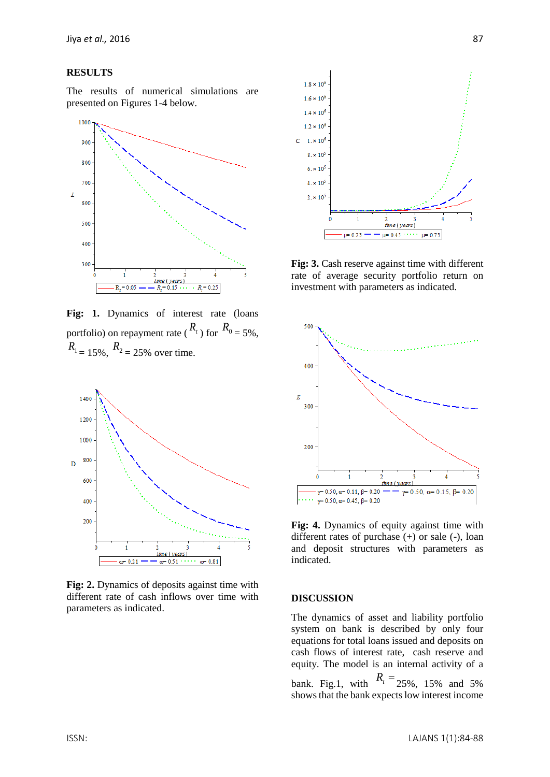#### **RESULTS**

The results of numerical simulations are presented on Figures 1-4 below.



Fig: 1. Dynamics of interest rate (loans portfolio) on repayment rate ( $R_t$ ) for  $R_0 = 5\%$ ,  $R_1 = 15\%, R_2 = 25\%$  over time.



**Fig: 2.** Dynamics of deposits against time with different rate of cash inflows over time with parameters as indicated.



**Fig: 3.** Cash reserve against time with different rate of average security portfolio return on investment with parameters as indicated.



**Fig: 4.** Dynamics of equity against time with different rates of purchase (+) or sale (-), loan and deposit structures with parameters as indicated.

#### **DISCUSSION**

The dynamics of asset and liability portfolio system on bank is described by only four equations for total loans issued and deposits on cash flows of interest rate, cash reserve and equity. The model is an internal activity of a bank. Fig.1, with  $R_t = 25\%$ , 15% and 5% shows that the bank expects low interest income